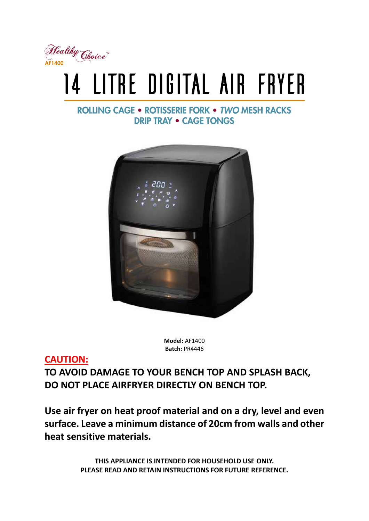

# 14 LITRE DIGITAL AIR FRYER

# **ROLLING CAGE • ROTISSERIE FORK • TWO MESH RACKS DRIP TRAY . CAGE TONGS**



**Model:** AF1400 **Batch:** PR4446

# **CAUTION:**

**TO AVOID DAMAGE TO YOUR BENCH TOP AND SPLASH BACK, DO NOT PLACE AIRFRYER DIRECTLY ON BENCH TOP.** 

**Use air fryer on heat proof material and on a dry, level and even surface. Leave a minimum distance of 20cm from walls and other heat sensitive materials.**

> **THIS APPLIANCE IS INTENDED FOR HOUSEHOLD USE ONLY. PLEASE READ AND RETAIN INSTRUCTIONS FOR FUTURE REFERENCE.**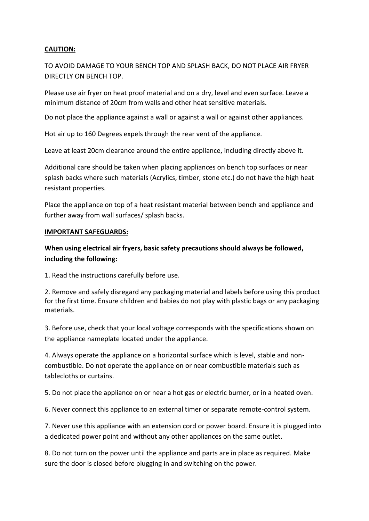#### **CAUTION:**

TO AVOID DAMAGE TO YOUR BENCH TOP AND SPLASH BACK, DO NOT PLACE AIR FRYER DIRECTLY ON BENCH TOP.

Please use air fryer on heat proof material and on a dry, level and even surface. Leave a minimum distance of 20cm from walls and other heat sensitive materials.

Do not place the appliance against a wall or against a wall or against other appliances.

Hot air up to 160 Degrees expels through the rear vent of the appliance.

Leave at least 20cm clearance around the entire appliance, including directly above it.

Additional care should be taken when placing appliances on bench top surfaces or near splash backs where such materials (Acrylics, timber, stone etc.) do not have the high heat resistant properties.

Place the appliance on top of a heat resistant material between bench and appliance and further away from wall surfaces/ splash backs.

#### **IMPORTANT SAFEGUARDS:**

### **When using electrical air fryers, basic safety precautions should always be followed, including the following:**

1. Read the instructions carefully before use.

2. Remove and safely disregard any packaging material and labels before using this product for the first time. Ensure children and babies do not play with plastic bags or any packaging materials.

3. Before use, check that your local voltage corresponds with the specifications shown on the appliance nameplate located under the appliance.

4. Always operate the appliance on a horizontal surface which is level, stable and noncombustible. Do not operate the appliance on or near combustible materials such as tablecloths or curtains.

5. Do not place the appliance on or near a hot gas or electric burner, or in a heated oven.

6. Never connect this appliance to an external timer or separate remote-control system.

7. Never use this appliance with an extension cord or power board. Ensure it is plugged into a dedicated power point and without any other appliances on the same outlet.

8. Do not turn on the power until the appliance and parts are in place as required. Make sure the door is closed before plugging in and switching on the power.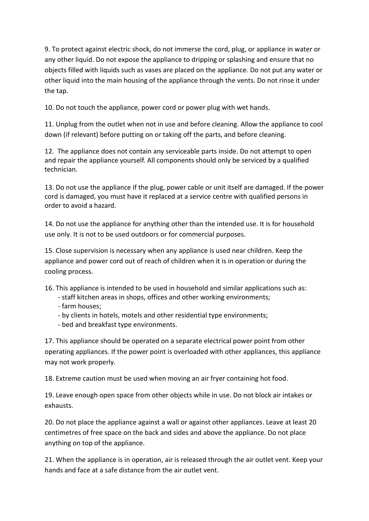9. To protect against electric shock, do not immerse the cord, plug, or appliance in water or any other liquid. Do not expose the appliance to dripping or splashing and ensure that no objects filled with liquids such as vases are placed on the appliance. Do not put any water or other liquid into the main housing of the appliance through the vents. Do not rinse it under the tap.

10. Do not touch the appliance, power cord or power plug with wet hands.

11. Unplug from the outlet when not in use and before cleaning. Allow the appliance to cool down (if relevant) before putting on or taking off the parts, and before cleaning.

12. The appliance does not contain any serviceable parts inside. Do not attempt to open and repair the appliance yourself. All components should only be serviced by a qualified technician.

13. Do not use the appliance if the plug, power cable or unit itself are damaged. If the power cord is damaged, you must have it replaced at a service centre with qualified persons in order to avoid a hazard.

14. Do not use the appliance for anything other than the intended use. It is for household use only. It is not to be used outdoors or for commercial purposes.

15. Close supervision is necessary when any appliance is used near children. Keep the appliance and power cord out of reach of children when it is in operation or during the cooling process.

16. This appliance is intended to be used in household and similar applications such as:

- staff kitchen areas in shops, offices and other working environments;
- farm houses;
- by clients in hotels, motels and other residential type environments;
- bed and breakfast type environments.

17. This appliance should be operated on a separate electrical power point from other operating appliances. If the power point is overloaded with other appliances, this appliance may not work properly.

18. Extreme caution must be used when moving an air fryer containing hot food.

19. Leave enough open space from other objects while in use. Do not block air intakes or exhausts.

20. Do not place the appliance against a wall or against other appliances. Leave at least 20 centimetres of free space on the back and sides and above the appliance. Do not place anything on top of the appliance.

21. When the appliance is in operation, air is released through the air outlet vent. Keep your hands and face at a safe distance from the air outlet vent.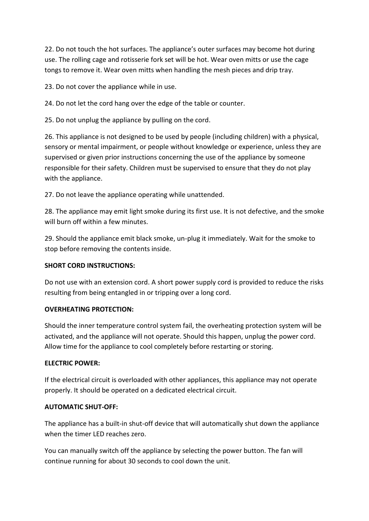22. Do not touch the hot surfaces. The appliance's outer surfaces may become hot during use. The rolling cage and rotisserie fork set will be hot. Wear oven mitts or use the cage tongs to remove it. Wear oven mitts when handling the mesh pieces and drip tray.

23. Do not cover the appliance while in use.

24. Do not let the cord hang over the edge of the table or counter.

25. Do not unplug the appliance by pulling on the cord.

26. This appliance is not designed to be used by people (including children) with a physical, sensory or mental impairment, or people without knowledge or experience, unless they are supervised or given prior instructions concerning the use of the appliance by someone responsible for their safety. Children must be supervised to ensure that they do not play with the appliance.

27. Do not leave the appliance operating while unattended.

28. The appliance may emit light smoke during its first use. It is not defective, and the smoke will burn off within a few minutes.

29. Should the appliance emit black smoke, un-plug it immediately. Wait for the smoke to stop before removing the contents inside.

#### **SHORT CORD INSTRUCTIONS:**

Do not use with an extension cord. A short power supply cord is provided to reduce the risks resulting from being entangled in or tripping over a long cord.

#### **OVERHEATING PROTECTION:**

Should the inner temperature control system fail, the overheating protection system will be activated, and the appliance will not operate. Should this happen, unplug the power cord. Allow time for the appliance to cool completely before restarting or storing.

#### **ELECTRIC POWER:**

If the electrical circuit is overloaded with other appliances, this appliance may not operate properly. It should be operated on a dedicated electrical circuit.

#### **AUTOMATIC SHUT-OFF:**

The appliance has a built-in shut-off device that will automatically shut down the appliance when the timer LED reaches zero.

You can manually switch off the appliance by selecting the power button. The fan will continue running for about 30 seconds to cool down the unit.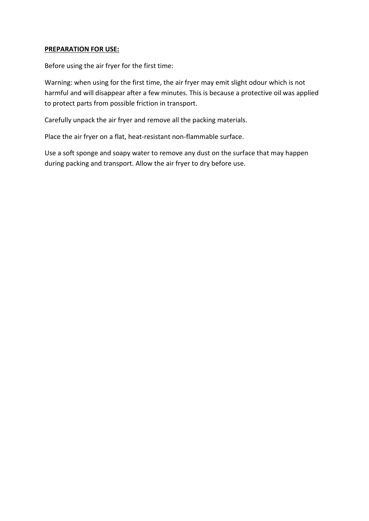#### **PREPARATION FOR USE:**

Before using the air fryer for the first time:

Warning: when using for the first time, the air fryer may emit slight odour which is not harmful and will disappear after a few minutes. This is because a protective oil was applied to protect parts from possible friction in transport.

Carefully unpack the air fryer and remove all the packing materials.

Place the air fryer on a flat, heat-resistant non-flammable surface.

Use a soft sponge and soapy water to remove any dust on the surface that may happen during packing and transport. Allow the air fryer to dry before use.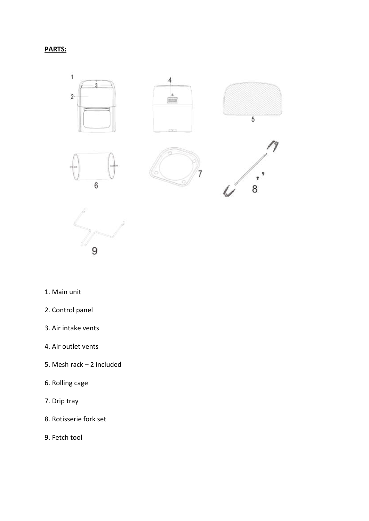## **PARTS:**





- 1. Main unit
- 2. Control panel
- 3. Air intake vents
- 4. Air outlet vents
- 5. Mesh rack 2 included
- 6. Rolling cage
- 7. Drip tray
- 8. Rotisserie fork set
- 9. Fetch tool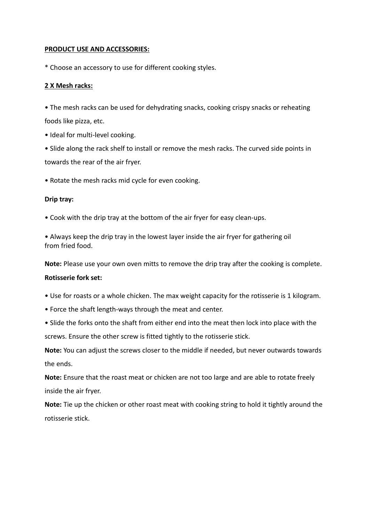#### **PRODUCT USE AND ACCESSORIES:**

\* Choose an accessory to use for different cooking styles.

#### **2 X Mesh racks:**

• The mesh racks can be used for dehydrating snacks, cooking crispy snacks or reheating foods like pizza, etc.

• Ideal for multi-level cooking.

• Slide along the rack shelf to install or remove the mesh racks. The curved side points in towards the rear of the air fryer.

• Rotate the mesh racks mid cycle for even cooking.

#### **Drip tray:**

• Cook with the drip tray at the bottom of the air fryer for easy clean-ups.

• Always keep the drip tray in the lowest layer inside the air fryer for gathering oil from fried food.

**Note:** Please use your own oven mitts to remove the drip tray after the cooking is complete.

#### **Rotisserie fork set:**

- Use for roasts or a whole chicken. The max weight capacity for the rotisserie is 1 kilogram.
- Force the shaft length-ways through the meat and center.
- Slide the forks onto the shaft from either end into the meat then lock into place with the screws. Ensure the other screw is fitted tightly to the rotisserie stick.

**Note:** You can adjust the screws closer to the middle if needed, but never outwards towards the ends.

**Note:** Ensure that the roast meat or chicken are not too large and are able to rotate freely inside the air fryer.

**Note:** Tie up the chicken or other roast meat with cooking string to hold it tightly around the rotisserie stick.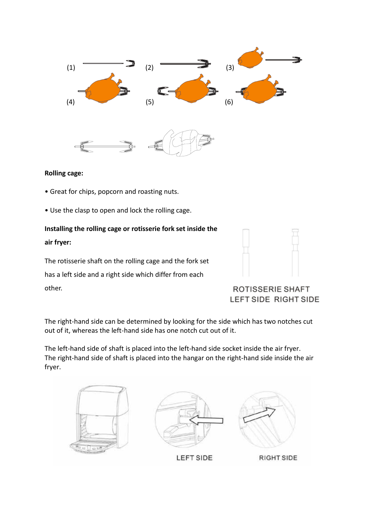



#### **Rolling cage:**

- Great for chips, popcorn and roasting nuts.
- Use the clasp to open and lock the rolling cage.

# **Installing the rolling cage or rotisserie fork set inside the air fryer:**

The rotisserie shaft on the rolling cage and the fork set has a left side and a right side which differ from each other.



# **ROTISSERIE SHAFT** LEFT SIDE RIGHT SIDE

The right-hand side can be determined by looking for the side which has two notches cut out of it, whereas the left-hand side has one notch cut out of it.

The left-hand side of shaft is placed into the left-hand side socket inside the air fryer. The right-hand side of shaft is placed into the hangar on the right-hand side inside the air fryer.

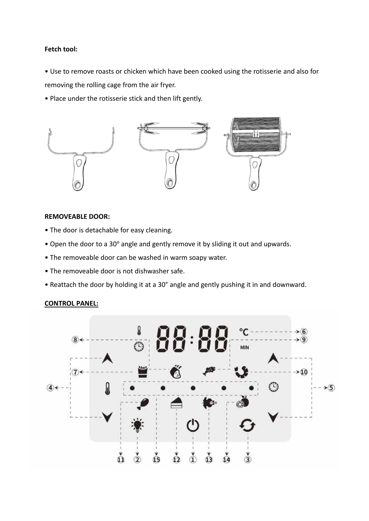#### **Fetch tool:**

• Use to remove roasts or chicken which have been cooked using the rotisserie and also for removing the rolling cage from the air fryer.

• Place under the rotisserie stick and then lift gently.



#### **REMOVEABLE DOOR:**

- The door is detachable for easy cleaning.
- Open the door to a 30° angle and gently remove it by sliding it out and upwards.
- The removeable door can be washed in warm soapy water.
- The removeable door is not dishwasher safe.
- Reattach the door by holding it at a 30° angle and gently pushing it in and downward.

#### **CONTROL PANEL:**

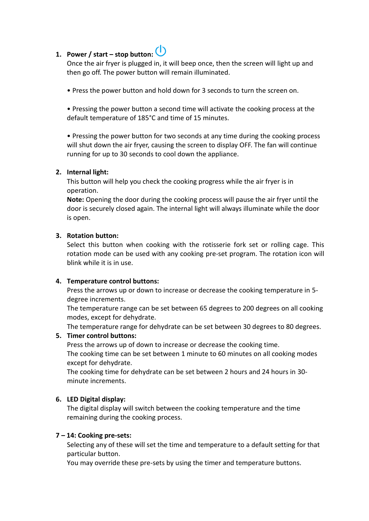# **1. Power / start – stop button:**

Once the air fryer is plugged in, it will beep once, then the screen will light up and then go off. The power button will remain illuminated.

• Press the power button and hold down for 3 seconds to turn the screen on.

• Pressing the power button a second time will activate the cooking process at the default temperature of 185°C and time of 15 minutes.

• Pressing the power button for two seconds at any time during the cooking process will shut down the air fryer, causing the screen to display OFF. The fan will continue running for up to 30 seconds to cool down the appliance.

#### **2. Internal light:**

This button will help you check the cooking progress while the air fryer is in operation.

**Note:** Opening the door during the cooking process will pause the air fryer until the door is securely closed again. The internal light will always illuminate while the door is open.

#### **3. Rotation button:**

Select this button when cooking with the rotisserie fork set or rolling cage. This rotation mode can be used with any cooking pre-set program. The rotation icon will blink while it is in use.

#### **4. Temperature control buttons:**

Press the arrows up or down to increase or decrease the cooking temperature in 5 degree increments.

The temperature range can be set between 65 degrees to 200 degrees on all cooking modes, except for dehydrate.

The temperature range for dehydrate can be set between 30 degrees to 80 degrees.

#### **5. Timer control buttons:**

Press the arrows up of down to increase or decrease the cooking time.

The cooking time can be set between 1 minute to 60 minutes on all cooking modes except for dehydrate.

The cooking time for dehydrate can be set between 2 hours and 24 hours in 30 minute increments.

#### **6. LED Digital display:**

The digital display will switch between the cooking temperature and the time remaining during the cooking process.

#### **7 – 14: Cooking pre-sets:**

Selecting any of these will set the time and temperature to a default setting for that particular button.

You may override these pre-sets by using the timer and temperature buttons.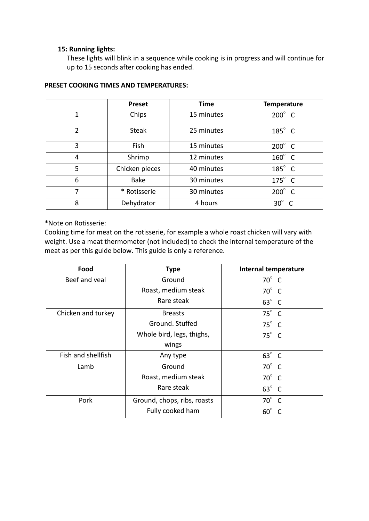#### **15: Running lights:**

These lights will blink in a sequence while cooking is in progress and will continue for up to 15 seconds after cooking has ended.

|                | <b>Preset</b>  | <b>Time</b> | <b>Temperature</b>       |
|----------------|----------------|-------------|--------------------------|
| 1              | Chips          | 15 minutes  | $200^\circ$ C            |
| $\overline{2}$ | <b>Steak</b>   | 25 minutes  | $185^\circ$ C            |
| 3              | Fish           | 15 minutes  | $200^\circ$ C            |
| 4              | Shrimp         | 12 minutes  | $160^\circ$ C            |
| 5              | Chicken pieces | 40 minutes  | $185^\circ$ C            |
| 6              | <b>Bake</b>    | 30 minutes  | $175^\circ$ C            |
| 7              | * Rotisserie   | 30 minutes  | $200^\circ$ C            |
| 8              | Dehydrator     | 4 hours     | $30^\circ$<br>$\epsilon$ |

#### **PRESET COOKING TIMES AND TEMPERATURES:**

\*Note on Rotisserie:

Cooking time for meat on the rotisserie, for example a whole roast chicken will vary with weight. Use a meat thermometer (not included) to check the internal temperature of the meat as per this guide below. This guide is only a reference.

| Food               | <b>Type</b>                 | <b>Internal temperature</b> |
|--------------------|-----------------------------|-----------------------------|
| Beef and veal      | Ground                      | $70^\circ$ C                |
|                    | Roast, medium steak         | $70^\circ$ C                |
|                    | Rare steak                  | $63^\circ$ C                |
| Chicken and turkey | <b>Breasts</b>              | $75^\circ$ C                |
|                    | Ground. Stuffed             | $75^\circ$ C                |
|                    | Whole bird, legs, thighs,   | $75^\circ$ C                |
|                    | wings                       |                             |
| Fish and shellfish | Any type                    | $63^\circ$ C                |
| Lamb               | Ground                      | $70^\circ$ C                |
|                    | Roast, medium steak         | $70^\circ$ C                |
|                    | Rare steak                  | $63^\circ$ C                |
| Pork               | Ground, chops, ribs, roasts | $70^\circ$ C                |
|                    | Fully cooked ham            | $60^\circ$<br>$\epsilon$    |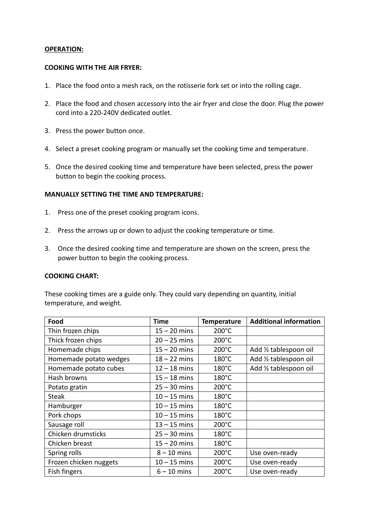#### **OPERATION:**

#### **COOKING WITH THE AIR FRYER:**

- 1. Place the food onto a mesh rack, on the rotisserie fork set or into the rolling cage.
- 2. Place the food and chosen accessory into the air fryer and close the door. Plug the power cord into a 220-240V dedicated outlet.
- 3. Press the power button once.
- 4. Select a preset cooking program or manually set the cooking time and temperature.
- 5. Once the desired cooking time and temperature have been selected, press the power button to begin the cooking process.

#### **MANUALLY SETTING THE TIME AND TEMPERATURE:**

- 1. Press one of the preset cooking program icons.
- 2. Press the arrows up or down to adjust the cooking temperature or time.
- 3. Once the desired cooking time and temperature are shown on the screen, press the power button to begin the cooking process.

#### **COOKING CHART:**

These cooking times are a guide only. They could vary depending on quantity, initial temperature, and weight.

| Food                   | <b>Time</b>    | <b>Temperature</b> | <b>Additional information</b> |
|------------------------|----------------|--------------------|-------------------------------|
| Thin frozen chips      | $15 - 20$ mins | 200°C              |                               |
| Thick frozen chips     | $20 - 25$ mins | 200°C              |                               |
| Homemade chips         | $15 - 20$ mins | 200°C              | Add 1/2 tablespoon oil        |
| Homemade potato wedges | $18 - 22$ mins | $180^{\circ}$ C    | Add 1/2 tablespoon oil        |
| Homemade potato cubes  | $12 - 18$ mins | $180^{\circ}$ C    | Add 1/2 tablespoon oil        |
| Hash browns            | $15 - 18$ mins | $180^{\circ}$ C    |                               |
| Potato gratin          | $25 - 30$ mins | $200^{\circ}$ C    |                               |
| <b>Steak</b>           | $10 - 15$ mins | $180^{\circ}$ C    |                               |
| Hamburger              | $10 - 15$ mins | 180°C              |                               |
| Pork chops             | $10 - 15$ mins | $180^{\circ}$ C    |                               |
| Sausage roll           | $13 - 15$ mins | $200^{\circ}$ C    |                               |
| Chicken drumsticks     | $25 - 30$ mins | 180°C              |                               |
| Chicken breast         | $15 - 20$ mins | 180°C              |                               |
| Spring rolls           | $8 - 10$ mins  | 200°C              | Use oven-ready                |
| Frozen chicken nuggets | $10 - 15$ mins | $200^{\circ}$ C    | Use oven-ready                |
| Fish fingers           | $6 - 10$ mins  | 200°C              | Use oven-ready                |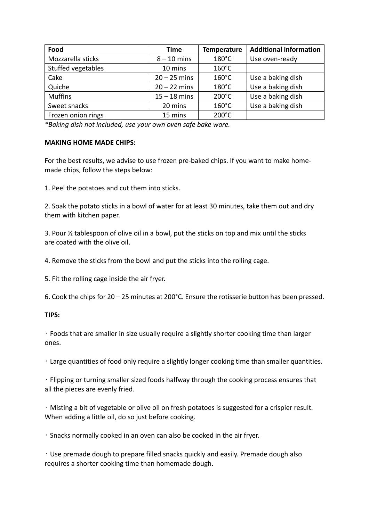| Food               | <b>Time</b>    | <b>Temperature</b> | <b>Additional information</b> |
|--------------------|----------------|--------------------|-------------------------------|
| Mozzarella sticks  | $8 - 10$ mins  | $180^{\circ}$ C    | Use oven-ready                |
| Stuffed vegetables | 10 mins        | $160^{\circ}$ C    |                               |
| Cake               | $20 - 25$ mins | $160^{\circ}$ C    | Use a baking dish             |
| Quiche             | $20 - 22$ mins | $180^{\circ}$ C    | Use a baking dish             |
| <b>Muffins</b>     | $15 - 18$ mins | $200^{\circ}$ C    | Use a baking dish             |
| Sweet snacks       | 20 mins        | $160^{\circ}$ C    | Use a baking dish             |
| Frozen onion rings | 15 mins        | $200^{\circ}$ C    |                               |

*\*Baking dish not included, use your own oven safe bake ware.*

#### **MAKING HOME MADE CHIPS:**

For the best results, we advise to use frozen pre-baked chips. If you want to make homemade chips, follow the steps below:

1. Peel the potatoes and cut them into sticks.

2. Soak the potato sticks in a bowl of water for at least 30 minutes, take them out and dry them with kitchen paper.

3. Pour ½ tablespoon of olive oil in a bowl, put the sticks on top and mix until the sticks are coated with the olive oil.

4. Remove the sticks from the bowl and put the sticks into the rolling cage.

5. Fit the rolling cage inside the air fryer.

6. Cook the chips for 20 – 25 minutes at 200°C. Ensure the rotisserie button has been pressed.

#### **TIPS:**

͌ Foods that are smaller in size usually require a slightly shorter cooking time than larger ones.

͌ Large quantities of food only require a slightly longer cooking time than smaller quantities.

͌ Flipping or turning smaller sized foods halfway through the cooking process ensures that all the pieces are evenly fried.

 $\cdot$  Misting a bit of vegetable or olive oil on fresh potatoes is suggested for a crispier result. When adding a little oil, do so just before cooking.

͌ Snacks normally cooked in an oven can also be cooked in the air fryer.

 $\cdot$  Use premade dough to prepare filled snacks quickly and easily. Premade dough also requires a shorter cooking time than homemade dough.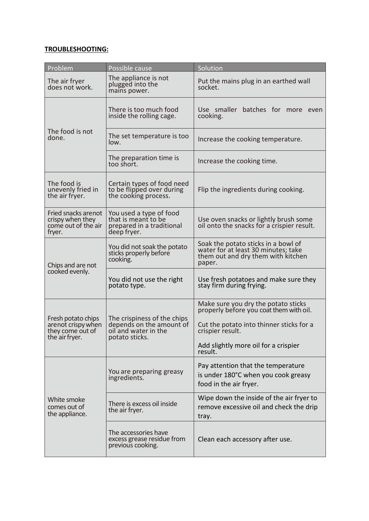#### **TROUBLESHOOTING:**

| Problem                                                                        | Possible cause                                                                                    | Solution                                                                                                                                                                                          |  |
|--------------------------------------------------------------------------------|---------------------------------------------------------------------------------------------------|---------------------------------------------------------------------------------------------------------------------------------------------------------------------------------------------------|--|
| The air fryer<br>does not work.                                                | The appliance is not<br>plugged into the<br>mains power.                                          | Put the mains plug in an earthed wall<br>socket.                                                                                                                                                  |  |
| The food is not<br>done.                                                       | There is too much food<br>inside the rolling cage.                                                | Use smaller batches for more even<br>cooking.                                                                                                                                                     |  |
|                                                                                | The set temperature is too<br>low.                                                                | Increase the cooking temperature.                                                                                                                                                                 |  |
|                                                                                | The preparation time is<br>too short.                                                             | Increase the cooking time.                                                                                                                                                                        |  |
| The food is<br>unevenly fried in<br>the air fryer.                             | Certain types of food need<br>to be flipped over during<br>the cooking process.                   | Flip the ingredients during cooking.                                                                                                                                                              |  |
| Fried snacks arenot<br>crispy when they<br>come out of the air<br>fryer.       | You used a type of food<br>that is meant to be<br>prepared in a traditional<br>deep fryer.        | Use oven snacks or lightly brush some<br>oil onto the snacks for a crispier result.                                                                                                               |  |
| Chips and are not<br>cooked evenly.                                            | You did not soak the potato<br>sticks properly before<br>cooking.                                 | Soak the potato sticks in a bowl of<br>water for at least 30 minutes; take<br>them out and dry them with kitchen<br>paper.                                                                        |  |
|                                                                                | You did not use the right<br>potato type.                                                         | Use fresh potatoes and make sure they<br>stay firm during frying.                                                                                                                                 |  |
| Fresh potato chips<br>arenot crispy when<br>they come out of<br>the air fryer. | The crispiness of the chips<br>depends on the amount of<br>oil and water in the<br>potato sticks. | Make sure you dry the potato sticks<br>properly before you coat them with oil.<br>Cut the potato into thinner sticks for a<br>crispier result.<br>Add slightly more oil for a crispier<br>result. |  |
|                                                                                | You are preparing greasy<br>ingredients.                                                          | Pay attention that the temperature<br>is under 180°C when you cook greasy<br>food in the air fryer.                                                                                               |  |
| White smoke<br>comes out of<br>the appliance.                                  | There is excess oil inside<br>the air fryer.                                                      | Wipe down the inside of the air fryer to<br>remove excessive oil and check the drip<br>tray.                                                                                                      |  |
|                                                                                | The accessories have<br>excess grease residue from<br>previous cooking.                           | Clean each accessory after use.                                                                                                                                                                   |  |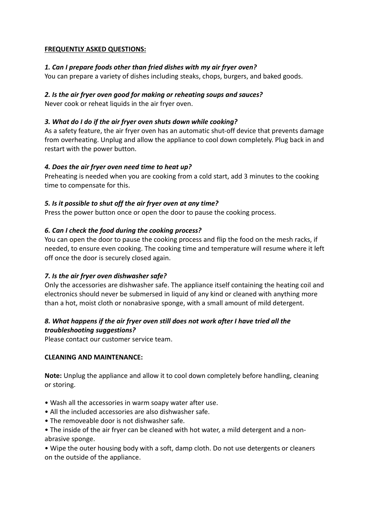#### **FREQUENTLY ASKED QUESTIONS:**

#### *1. Can I prepare foods other than fried dishes with my air fryer oven?*

You can prepare a variety of dishes including steaks, chops, burgers, and baked goods.

#### *2. Is the air fryer oven good for making or reheating soups and sauces?*

Never cook or reheat liquids in the air fryer oven.

#### *3. What do I do if the air fryer oven shuts down while cooking?*

As a safety feature, the air fryer oven has an automatic shut-off device that prevents damage from overheating. Unplug and allow the appliance to cool down completely. Plug back in and restart with the power button.

#### *4. Does the air fryer oven need time to heat up?*

Preheating is needed when you are cooking from a cold start, add 3 minutes to the cooking time to compensate for this.

#### *5. Is it possible to shut off the air fryer oven at any time?*

Press the power button once or open the door to pause the cooking process.

#### *6. Can I check the food during the cooking process?*

You can open the door to pause the cooking process and flip the food on the mesh racks, if needed, to ensure even cooking. The cooking time and temperature will resume where it left off once the door is securely closed again.

#### *7. Is the air fryer oven dishwasher safe?*

Only the accessories are dishwasher safe. The appliance itself containing the heating coil and electronics should never be submersed in liquid of any kind or cleaned with anything more than a hot, moist cloth or nonabrasive sponge, with a small amount of mild detergent.

#### *8. What happens if the air fryer oven still does not work after I have tried all the troubleshooting suggestions?*

Please contact our customer service team.

#### **CLEANING AND MAINTENANCE:**

**Note:** Unplug the appliance and allow it to cool down completely before handling, cleaning or storing.

- Wash all the accessories in warm soapy water after use.
- All the included accessories are also dishwasher safe.
- The removeable door is not dishwasher safe.
- The inside of the air fryer can be cleaned with hot water, a mild detergent and a nonabrasive sponge.

• Wipe the outer housing body with a soft, damp cloth. Do not use detergents or cleaners on the outside of the appliance.